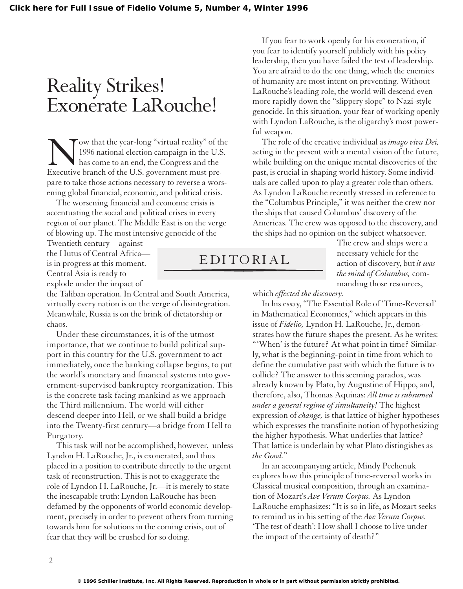## Reality Strikes! Exonerate LaRouche!

Tow that the year-long "virtual reality" of the 1996 national election campaign in the U.S. has come to an end, the Congress and the Executive branch of the U.S. government must prepare to take those actions necessary to reverse a worsening global financial, economic, and political crisis.

The worsening financial and economic crisis is accentuating the social and political crises in every region of our planet. The Middle East is on the verge of blowing up. The most intensive genocide of the

Twentieth century—against the Hutus of Central Africa is in progress at this moment. Central Asia is ready to explode under the impact of

the Taliban operation. In Central and South America, virtually every nation is on the verge of disintegration. Meanwhile, Russia is on the brink of dictatorship or chaos.

Under these circumstances, it is of the utmost importance, that we continue to build political support in this country for the U.S. government to act immediately, once the banking collapse begins, to put the world's monetary and financial systems into government-supervised bankruptcy reorganization. This is the concrete task facing mankind as we approach the Third millennium. The world will either descend deeper into Hell, or we shall build a bridge into the Twenty-first century—a bridge from Hell to Purgatory.

This task will not be accomplished, however, unless Lyndon H. LaRouche, Jr., is exonerated, and thus placed in a position to contribute directly to the urgent task of reconstruction. This is not to exaggerate the role of Lyndon H. LaRouche, Jr.—it is merely to state the inescapable truth: Lyndon LaRouche has been defamed by the opponents of world economic development, precisely in order to prevent others from turning towards him for solutions in the coming crisis, out of fear that they will be crushed for so doing.

If you fear to work openly for his exoneration, if you fear to identify yourself publicly with his policy leadership, then you have failed the test of leadership. You are afraid to do the one thing, which the enemies of humanity are most intent on preventing. Without LaRouche's leading role, the world will descend even more rapidly down the "slippery slope" to Nazi-style genocide. In this situation, your fear of working openly with Lyndon LaRouche, is the oligarchy's most powerful weapon.

The role of the creative individual as *imago viva Dei,* acting in the present with a mental vision of the future, while building on the unique mental discoveries of the past, is crucial in shaping world history. Some individuals are called upon to play a greater role than others. As Lyndon LaRouche recently stressed in reference to the "Columbus Principle," it was neither the crew nor the ships that caused Columbus' discovery of the Americas. The crew was opposed to the discovery, and the ships had no opinion on the subject whatsoever.

EDITORIAL

The crew and ships were a necessary vehicle for the action of discovery, but *it was the mind of Columbus,* commanding those resources,

which *effected the discovery.*

In his essay, "The Essential Role of 'Time-Reversal' in Mathematical Economics," which appears in this issue of *Fidelio,* Lyndon H. LaRouche, Jr., demonstrates how the future shapes the present. As he writes: "'When' is the future? At what point in time? Similarly, what is the beginning-point in time from which to define the cumulative past with which the future is to collide? The answer to this seeming paradox, was already known by Plato, by Augustine of Hippo, and, therefore, also, Thomas Aquinas: *All time is subsumed under a general regime of simultaneity!* The highest expression of *change,* is that lattice of higher hypotheses which expresses the transfinite notion of hypothesizing the higher hypothesis. What underlies that lattice? That lattice is underlain by what Plato distingishes as *the Good.*"

In an accompanying article, Mindy Pechenuk explores how this principle of time-reversal works in Classical musical composition, through an examination of Mozart's *Ave Verum Corpus.* As Lyndon LaRouche emphasizes: "It is so in life, as Mozart seeks to remind us in his setting of the *Ave Verum Corpus.* 'The test of death': How shall I choose to live under the impact of the certainty of death?"